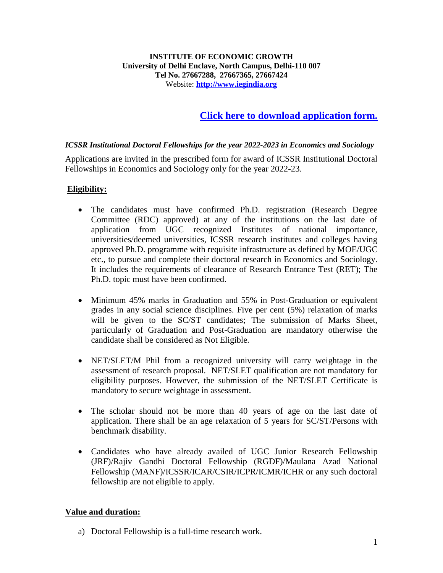## **[Click here to download application form.](https://iegindia.org/wp-content/uploads/2022/06/Institutional_Application-Form-2022-23.pdf)**

## *ICSSR Institutional Doctoral Fellowships for the year 2022-2023 in Economics and Sociology*

Applications are invited in the prescribed form for award of ICSSR Institutional Doctoral Fellowships in Economics and Sociology only for the year 2022-23.

## **Eligibility:**

- The candidates must have confirmed Ph.D. registration (Research Degree Committee (RDC) approved) at any of the institutions on the last date of application from UGC recognized Institutes of national importance, universities/deemed universities, ICSSR research institutes and colleges having approved Ph.D. programme with requisite infrastructure as defined by MOE/UGC etc., to pursue and complete their doctoral research in Economics and Sociology. It includes the requirements of clearance of Research Entrance Test (RET); The Ph.D. topic must have been confirmed.
- Minimum 45% marks in Graduation and 55% in Post-Graduation or equivalent grades in any social science disciplines. Five per cent (5%) relaxation of marks will be given to the SC/ST candidates; The submission of Marks Sheet, particularly of Graduation and Post-Graduation are mandatory otherwise the candidate shall be considered as Not Eligible.
- NET/SLET/M Phil from a recognized university will carry weightage in the assessment of research proposal. NET/SLET qualification are not mandatory for eligibility purposes. However, the submission of the NET/SLET Certificate is mandatory to secure weightage in assessment.
- The scholar should not be more than 40 years of age on the last date of application. There shall be an age relaxation of 5 years for SC/ST/Persons with benchmark disability.
- Candidates who have already availed of UGC Junior Research Fellowship (JRF)/Rajiv Gandhi Doctoral Fellowship (RGDF)/Maulana Azad National Fellowship (MANF)/ICSSR/ICAR/CSIR/ICPR/ICMR/ICHR or any such doctoral fellowship are not eligible to apply.

## **Value and duration:**

a) Doctoral Fellowship is a full-time research work.